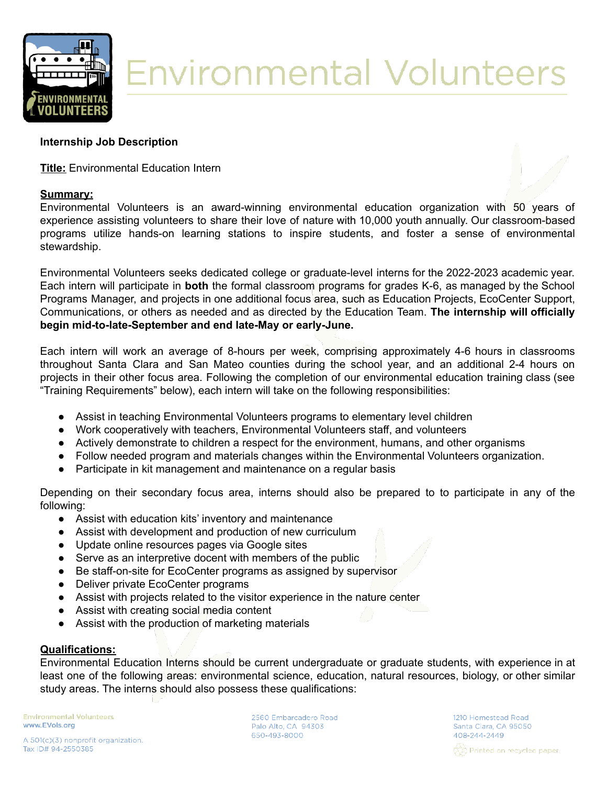

# **Environmental Volunteers**

# **Internship Job Description**

**Title:** Environmental Education Intern

# **Summary:**



Environmental Volunteers is an award-winning environmental education organization with 50 years of experience assisting volunteers to share their love of nature with 10,000 youth annually. Our classroom-based programs utilize hands-on learning stations to inspire students, and foster a sense of environmental stewardship.

Environmental Volunteers seeks dedicated college or graduate-level interns for the 2022-2023 academic year. Each intern will participate in **both** the formal classroom programs for grades K-6, as managed by the School Programs Manager, and projects in one additional focus area, such as Education Projects, EcoCenter Support, Communications, or others as needed and as directed by the Education Team. **The internship will officially begin mid-to-late-September and end late-May or early-June.**

Each intern will work an average of 8-hours per week, comprising approximately 4-6 hours in classrooms throughout Santa Clara and San Mateo counties during the school year, and an additional 2-4 hours on projects in their other focus area. Following the completion of our environmental education training class (see "Training Requirements" below), each intern will take on the following responsibilities:

- Assist in teaching Environmental Volunteers programs to elementary level children
- Work cooperatively with teachers, Environmental Volunteers staff, and volunteers
- Actively demonstrate to children a respect for the environment, humans, and other organisms
- Follow needed program and materials changes within the Environmental Volunteers organization.
- Participate in kit management and maintenance on a regular basis

Depending on their secondary focus area, interns should also be prepared to to participate in any of the following:

- Assist with education kits' inventory and maintenance
- Assist with development and production of new curriculum
- Update online resources pages via Google sites
- Serve as an interpretive docent with members of the public
- Be staff-on-site for EcoCenter programs as assigned by supervisor
- Deliver private EcoCenter programs
- Assist with projects related to the visitor experience in the nature center
- Assist with creating social media content
- Assist with the production of marketing materials

### **Qualifications:**

Environmental Education Interns should be current undergraduate or graduate students, with experience in at least one of the following areas: environmental science, education, natural resources, biology, or other similar study areas. The interns should also possess these qualifications:

**Environmental Volunteers** www.EVols.org

2560 Embarcadero Road Palo Alto, CA 94303 650-493-8000

1210 Homestead Road Santa Clara, CA 95050 408-244-2449 ර්දීර්) Printed on recycled paper.